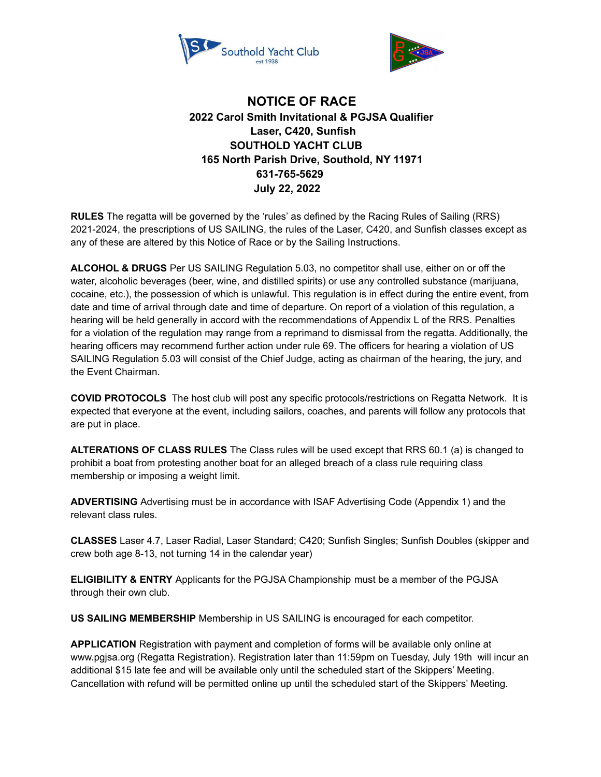



## **NOTICE OF RACE 2022 Carol Smith Invitational & PGJSA Qualifier Laser, C420, Sunfish SOUTHOLD YACHT CLUB 165 North Parish Drive, Southold, NY 11971 631-765-5629 July 22, 2022**

**RULES** The regatta will be governed by the 'rules' as defined by the Racing Rules of Sailing (RRS) 2021-2024, the prescriptions of US SAILING, the rules of the Laser, C420, and Sunfish classes except as any of these are altered by this Notice of Race or by the Sailing Instructions.

**ALCOHOL & DRUGS** Per US SAILING Regulation 5.03, no competitor shall use, either on or off the water, alcoholic beverages (beer, wine, and distilled spirits) or use any controlled substance (marijuana, cocaine, etc.), the possession of which is unlawful. This regulation is in effect during the entire event, from date and time of arrival through date and time of departure. On report of a violation of this regulation, a hearing will be held generally in accord with the recommendations of Appendix L of the RRS. Penalties for a violation of the regulation may range from a reprimand to dismissal from the regatta. Additionally, the hearing officers may recommend further action under rule 69. The officers for hearing a violation of US SAILING Regulation 5.03 will consist of the Chief Judge, acting as chairman of the hearing, the jury, and the Event Chairman.

**COVID PROTOCOLS** The host club will post any specific protocols/restrictions on Regatta Network. It is expected that everyone at the event, including sailors, coaches, and parents will follow any protocols that are put in place.

**ALTERATIONS OF CLASS RULES** The Class rules will be used except that RRS 60.1 (a) is changed to prohibit a boat from protesting another boat for an alleged breach of a class rule requiring class membership or imposing a weight limit.

**ADVERTISING** Advertising must be in accordance with ISAF Advertising Code (Appendix 1) and the relevant class rules.

**CLASSES** Laser 4.7, Laser Radial, Laser Standard; C420; Sunfish Singles; Sunfish Doubles (skipper and crew both age 8-13, not turning 14 in the calendar year)

**ELIGIBILITY & ENTRY** Applicants for the PGJSA Championship must be a member of the PGJSA through their own club.

**US SAILING MEMBERSHIP** Membership in US SAILING is encouraged for each competitor.

**APPLICATION** Registration with payment and completion of forms will be available only online at www.pgjsa.org (Regatta Registration). Registration later than 11:59pm on Tuesday, July 19th will incur an additional \$15 late fee and will be available only until the scheduled start of the Skippers' Meeting. Cancellation with refund will be permitted online up until the scheduled start of the Skippers' Meeting.